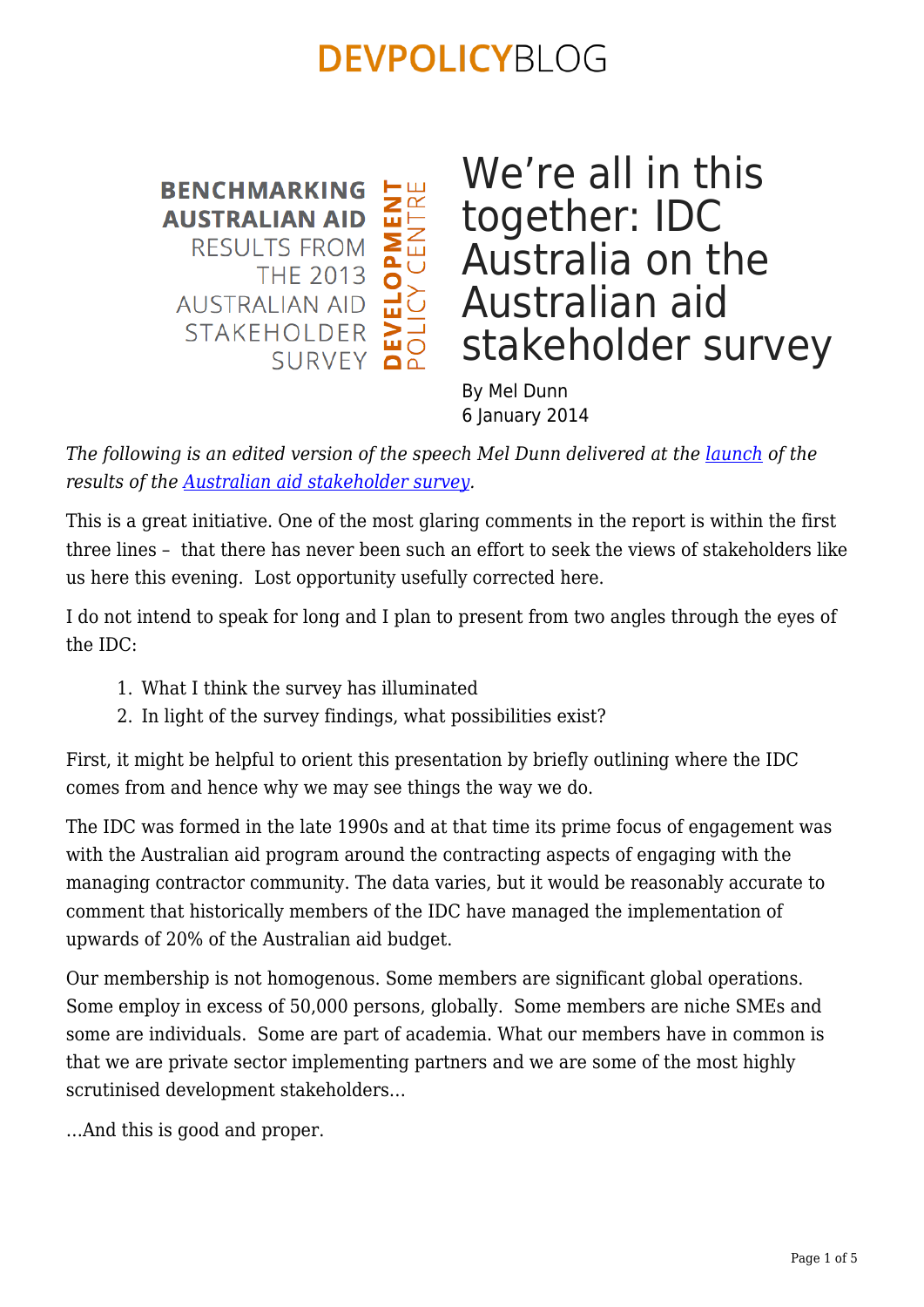ICY CENTRE<br>ICY CENTRE **BENCHMARKING AUSTRALIAN AID RESULTS FROM THE 2013 AUSTRALIAN AID STAKEHOLDER** SURVEY

#### We're all in this together: IDC Australia on the Australian aid stakeholder survey

By Mel Dunn 6 January 2014

*The following is an edited version of the speech Mel Dunn delivered at the [launch](https://crawford.anu.edu.au/events/3070/2013-australian-aid-stakeholder-survey) of the results of the [Australian aid stakeholder survey.](https://devpolicy.crawford.anu.edu.au/australian-aid-stakeholder-survey)* 

This is a great initiative. One of the most glaring comments in the report is within the first three lines – that there has never been such an effort to seek the views of stakeholders like us here this evening. Lost opportunity usefully corrected here.

I do not intend to speak for long and I plan to present from two angles through the eyes of the IDC:

- 1. What I think the survey has illuminated
- 2. In light of the survey findings, what possibilities exist?

First, it might be helpful to orient this presentation by briefly outlining where the IDC comes from and hence why we may see things the way we do.

The IDC was formed in the late 1990s and at that time its prime focus of engagement was with the Australian aid program around the contracting aspects of engaging with the managing contractor community. The data varies, but it would be reasonably accurate to comment that historically members of the IDC have managed the implementation of upwards of 20% of the Australian aid budget.

Our membership is not homogenous. Some members are significant global operations. Some employ in excess of 50,000 persons, globally. Some members are niche SMEs and some are individuals. Some are part of academia. What our members have in common is that we are private sector implementing partners and we are some of the most highly scrutinised development stakeholders…

…And this is good and proper.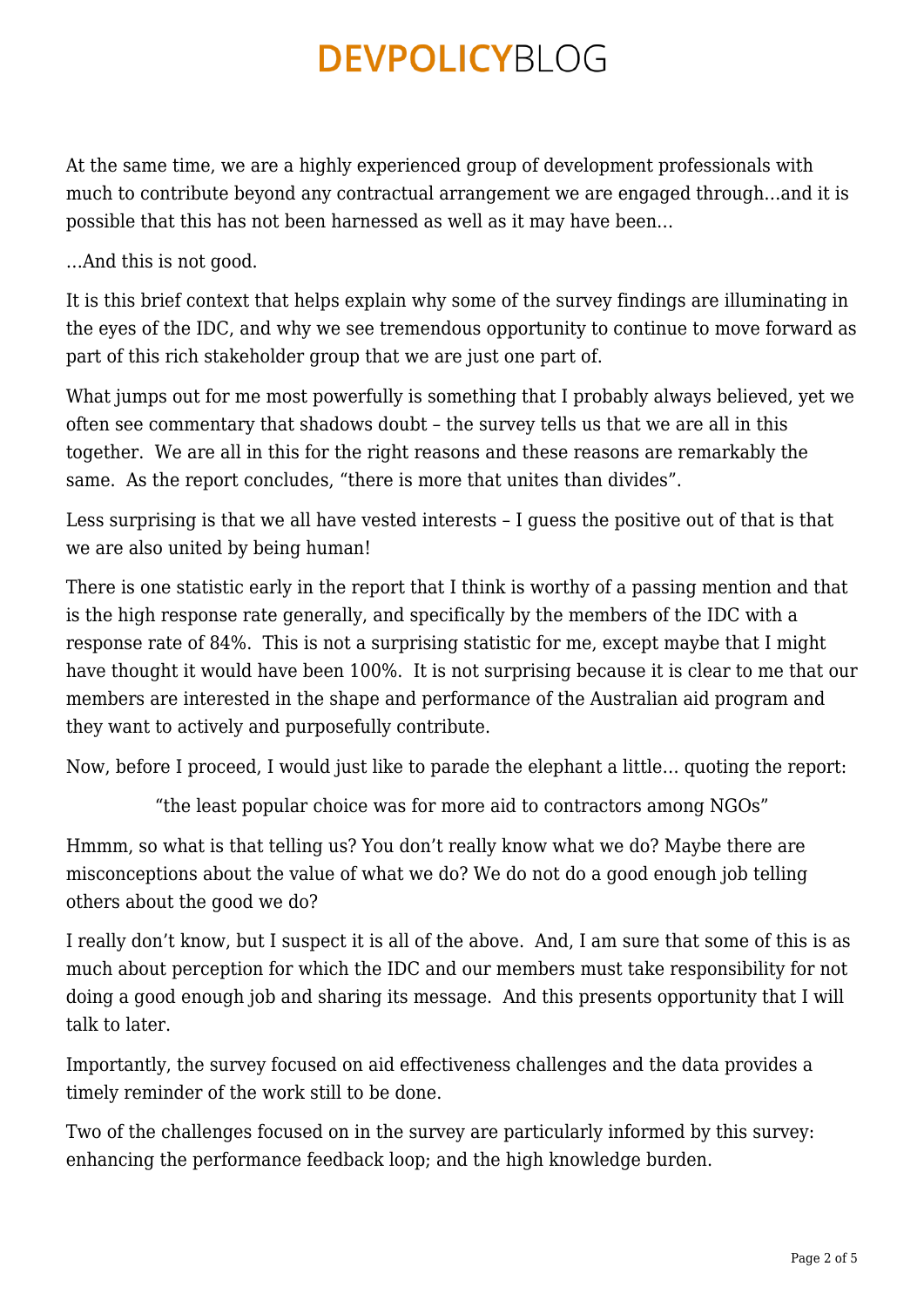At the same time, we are a highly experienced group of development professionals with much to contribute beyond any contractual arrangement we are engaged through…and it is possible that this has not been harnessed as well as it may have been…

…And this is not good.

It is this brief context that helps explain why some of the survey findings are illuminating in the eyes of the IDC, and why we see tremendous opportunity to continue to move forward as part of this rich stakeholder group that we are just one part of.

What jumps out for me most powerfully is something that I probably always believed, yet we often see commentary that shadows doubt – the survey tells us that we are all in this together. We are all in this for the right reasons and these reasons are remarkably the same. As the report concludes, "there is more that unites than divides".

Less surprising is that we all have vested interests – I guess the positive out of that is that we are also united by being human!

There is one statistic early in the report that I think is worthy of a passing mention and that is the high response rate generally, and specifically by the members of the IDC with a response rate of 84%. This is not a surprising statistic for me, except maybe that I might have thought it would have been 100%. It is not surprising because it is clear to me that our members are interested in the shape and performance of the Australian aid program and they want to actively and purposefully contribute.

Now, before I proceed, I would just like to parade the elephant a little… quoting the report:

"the least popular choice was for more aid to contractors among NGOs"

Hmmm, so what is that telling us? You don't really know what we do? Maybe there are misconceptions about the value of what we do? We do not do a good enough job telling others about the good we do?

I really don't know, but I suspect it is all of the above. And, I am sure that some of this is as much about perception for which the IDC and our members must take responsibility for not doing a good enough job and sharing its message. And this presents opportunity that I will talk to later.

Importantly, the survey focused on aid effectiveness challenges and the data provides a timely reminder of the work still to be done.

Two of the challenges focused on in the survey are particularly informed by this survey: enhancing the performance feedback loop; and the high knowledge burden.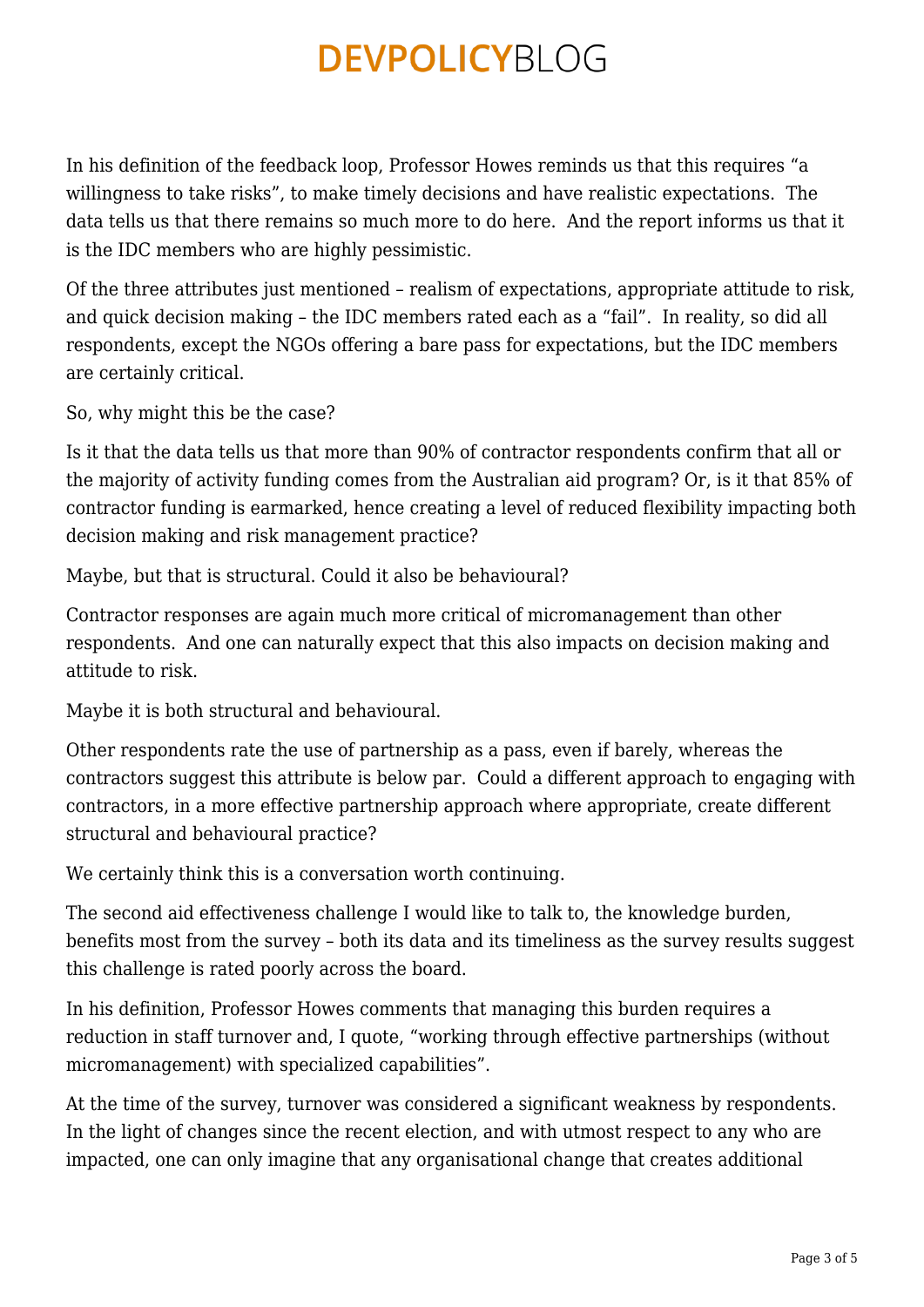In his definition of the feedback loop, Professor Howes reminds us that this requires "a willingness to take risks", to make timely decisions and have realistic expectations. The data tells us that there remains so much more to do here. And the report informs us that it is the IDC members who are highly pessimistic.

Of the three attributes just mentioned – realism of expectations, appropriate attitude to risk, and quick decision making – the IDC members rated each as a "fail". In reality, so did all respondents, except the NGOs offering a bare pass for expectations, but the IDC members are certainly critical.

So, why might this be the case?

Is it that the data tells us that more than 90% of contractor respondents confirm that all or the majority of activity funding comes from the Australian aid program? Or, is it that 85% of contractor funding is earmarked, hence creating a level of reduced flexibility impacting both decision making and risk management practice?

Maybe, but that is structural. Could it also be behavioural?

Contractor responses are again much more critical of micromanagement than other respondents. And one can naturally expect that this also impacts on decision making and attitude to risk.

Maybe it is both structural and behavioural.

Other respondents rate the use of partnership as a pass, even if barely, whereas the contractors suggest this attribute is below par. Could a different approach to engaging with contractors, in a more effective partnership approach where appropriate, create different structural and behavioural practice?

We certainly think this is a conversation worth continuing.

The second aid effectiveness challenge I would like to talk to, the knowledge burden, benefits most from the survey – both its data and its timeliness as the survey results suggest this challenge is rated poorly across the board.

In his definition, Professor Howes comments that managing this burden requires a reduction in staff turnover and, I quote, "working through effective partnerships (without micromanagement) with specialized capabilities".

At the time of the survey, turnover was considered a significant weakness by respondents. In the light of changes since the recent election, and with utmost respect to any who are impacted, one can only imagine that any organisational change that creates additional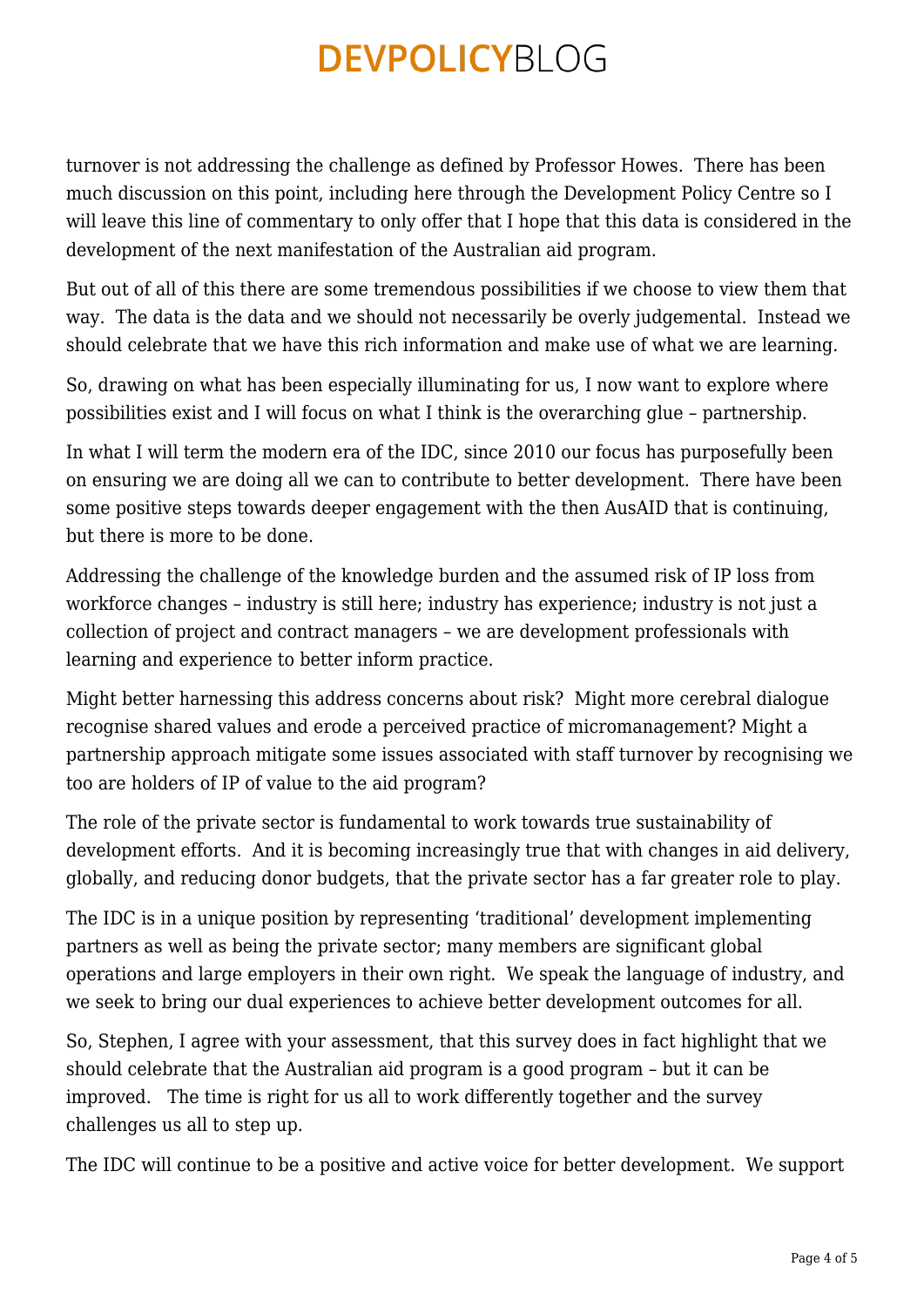turnover is not addressing the challenge as defined by Professor Howes. There has been much discussion on this point, including here through the Development Policy Centre so I will leave this line of commentary to only offer that I hope that this data is considered in the development of the next manifestation of the Australian aid program.

But out of all of this there are some tremendous possibilities if we choose to view them that way. The data is the data and we should not necessarily be overly judgemental. Instead we should celebrate that we have this rich information and make use of what we are learning.

So, drawing on what has been especially illuminating for us, I now want to explore where possibilities exist and I will focus on what I think is the overarching glue – partnership.

In what I will term the modern era of the IDC, since 2010 our focus has purposefully been on ensuring we are doing all we can to contribute to better development. There have been some positive steps towards deeper engagement with the then AusAID that is continuing, but there is more to be done.

Addressing the challenge of the knowledge burden and the assumed risk of IP loss from workforce changes – industry is still here; industry has experience; industry is not just a collection of project and contract managers – we are development professionals with learning and experience to better inform practice.

Might better harnessing this address concerns about risk? Might more cerebral dialogue recognise shared values and erode a perceived practice of micromanagement? Might a partnership approach mitigate some issues associated with staff turnover by recognising we too are holders of IP of value to the aid program?

The role of the private sector is fundamental to work towards true sustainability of development efforts. And it is becoming increasingly true that with changes in aid delivery, globally, and reducing donor budgets, that the private sector has a far greater role to play.

The IDC is in a unique position by representing 'traditional' development implementing partners as well as being the private sector; many members are significant global operations and large employers in their own right. We speak the language of industry, and we seek to bring our dual experiences to achieve better development outcomes for all.

So, Stephen, I agree with your assessment, that this survey does in fact highlight that we should celebrate that the Australian aid program is a good program – but it can be improved. The time is right for us all to work differently together and the survey challenges us all to step up.

The IDC will continue to be a positive and active voice for better development. We support